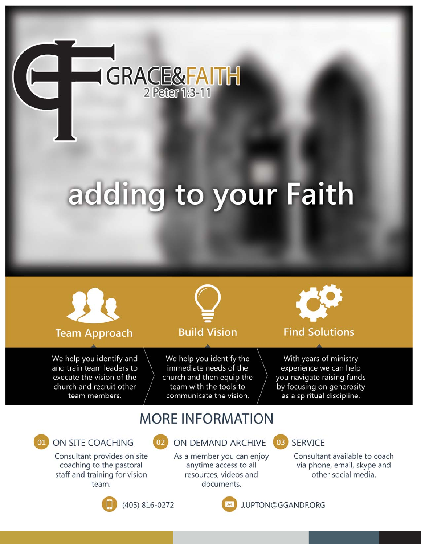

# adding to your Faith



## **Team Approach**

We help you identify and and train team leaders to execute the vision of the church and recruit other team members.



# **Build Vision**

We help you identify the immediate needs of the church and then equip the team with the tools to communicate the vision.



## **Find Solutions**

With years of ministry experience we can help you navigate raising funds by focusing on generosity as a spiritual discipline.

# **MORE INFORMATION**

# ON SITE COACHING

Consultant provides on site coaching to the pastoral staff and training for vision team.



# ON DEMAND ARCHIVE

As a member you can enjoy anytime access to all resources, videos and documents.

#### **SERVICF** 03

Consultant available to coach via phone, email, skype and other social media.



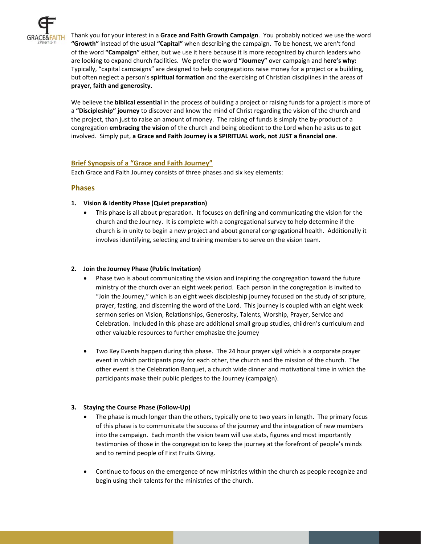

Thank you for your interest in a **Grace and Faith Growth Campaign**. You probably noticed we use the word **"Growth"** instead of the usual **"Capital"** when describing the campaign. To be honest, we aren't fond of the word **"Campaign"** either, but we use it here because it is more recognized by church leaders who are looking to expand church facilities. We prefer the word **"Journey"** over campaign and h**ere's why:** Typically, "capital campaigns" are designed to help congregations raise money for a project or a building, but often neglect a person's **spiritual formation** and the exercising of Christian disciplines in the areas of **prayer, faith and generosity.**

We believe the **biblical essential** in the process of building a project or raising funds for a project is more of a **"Discipleship" journey** to discover and know the mind of Christ regarding the vision of the church and the project, than just to raise an amount of money. The raising of funds is simply the by‐product of a congregation **embracing the vision** of the church and being obedient to the Lord when he asks us to get involved. Simply put, **a Grace and Faith Journey is a SPIRITUAL work, not JUST a financial one**.

#### **Brief Synopsis of a "Grace and Faith Journey"**

Each Grace and Faith Journey consists of three phases and six key elements:

#### **Phases**

#### **1. Vision & Identity Phase (Quiet preparation)**

 This phase is all about preparation. It focuses on defining and communicating the vision for the church and the Journey. It is complete with a congregational survey to help determine if the church is in unity to begin a new project and about general congregational health. Additionally it involves identifying, selecting and training members to serve on the vision team.

#### **2. Join the Journey Phase (Public Invitation)**

- Phase two is about communicating the vision and inspiring the congregation toward the future ministry of the church over an eight week period. Each person in the congregation is invited to "Join the Journey," which is an eight week discipleship journey focused on the study of scripture, prayer, fasting, and discerning the word of the Lord. This journey is coupled with an eight week sermon series on Vision, Relationships, Generosity, Talents, Worship, Prayer, Service and Celebration. Included in this phase are additional small group studies, children's curriculum and other valuable resources to further emphasize the journey
- Two Key Events happen during this phase. The 24 hour prayer vigil which is a corporate prayer event in which participants pray for each other, the church and the mission of the church. The other event is the Celebration Banquet, a church wide dinner and motivational time in which the participants make their public pledges to the Journey (campaign).

#### **3. Staying the Course Phase (Follow‐Up)**

- The phase is much longer than the others, typically one to two years in length. The primary focus of this phase is to communicate the success of the journey and the integration of new members into the campaign. Each month the vision team will use stats, figures and most importantly testimonies of those in the congregation to keep the journey at the forefront of people's minds and to remind people of First Fruits Giving.
- Continue to focus on the emergence of new ministries within the church as people recognize and begin using their talents for the ministries of the church.